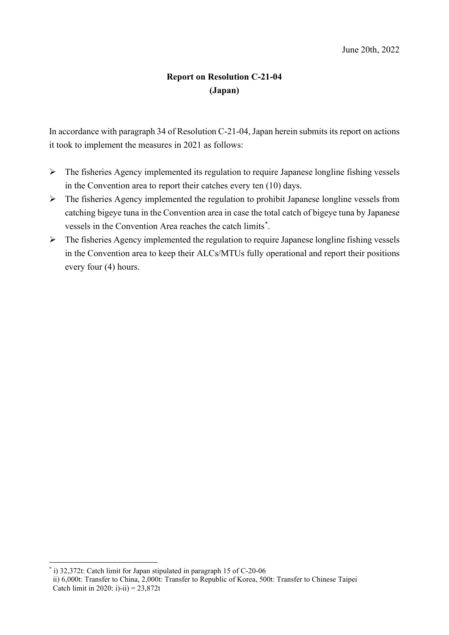## **Report on Resolution C-21-04 (Japan)**

In accordance with paragraph 34 of Resolution C-21-04, Japan herein submits its report on actions it took to implement the measures in 2021 as follows:

- $\triangleright$  The fisheries Agency implemented its regulation to require Japanese longline fishing vessels in the Convention area to report their catches every ten (10) days.
- $\triangleright$  The fisheries Agency implemented the regulation to prohibit Japanese longline vessels from catching bigeye tuna in the Convention area in case the total catch of bigeye tuna by Japanese vessels in the Convention Area reaches the catch limits<sup>[\\*](#page-0-0)</sup>.
- $\triangleright$  The fisheries Agency implemented the regulation to require Japanese longline fishing vessels in the Convention area to keep their ALCs/MTUs fully operational and report their positions every four (4) hours.

<span id="page-0-0"></span>\* i) 32,372t: Catch limit for Japan stipulated in paragraph 15 of C-20-06

ii) 6,000t: Transfer to China, 2,000t: Transfer to Republic of Korea, 500t: Transfer to Chinese Taipei Catch limit in 2020: i)-ii) =  $23,872t$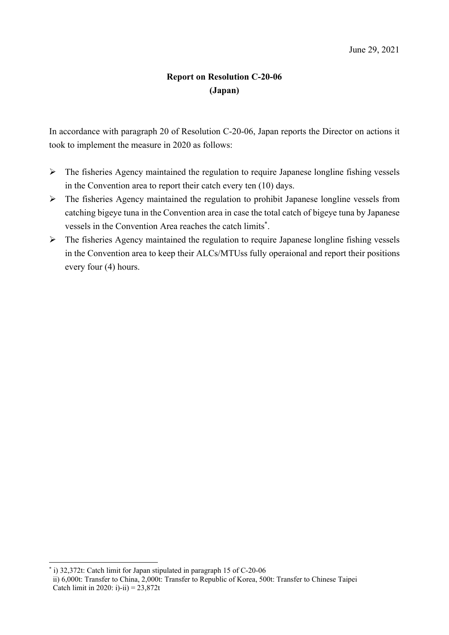## **Report on Resolution C-20-06 (Japan)**

In accordance with paragraph 20 of Resolution C-20-06, Japan reports the Director on actions it took to implement the measure in 2020 as follows:

- $\triangleright$  The fisheries Agency maintained the regulation to require Japanese longline fishing vessels in the Convention area to report their catch every ten (10) days.
- The fisheries Agency maintained the regulation to prohibit Japanese longline vessels from catching bigeye tuna in the Convention area in case the total catch of bigeye tuna by Japanese vessels in the Convention Area reaches the catch limits\* .
- $\triangleright$  The fisheries Agency maintained the regulation to require Japanese longline fishing vessels in the Convention area to keep their ALCs/MTUss fully operaional and report their positions every four (4) hours.

\* i) 32,372t: Catch limit for Japan stipulated in paragraph 15 of C-20-06

ii) 6,000t: Transfer to China, 2,000t: Transfer to Republic of Korea, 500t: Transfer to Chinese Taipei Catch limit in 2020: i)-ii) =  $23,872t$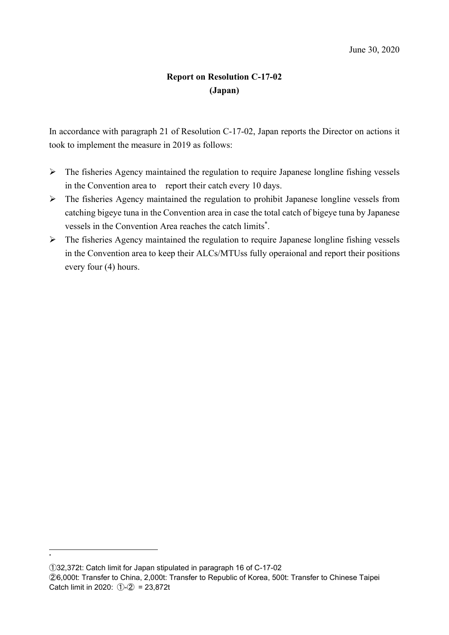## Report on Resolution C-17-02 (Japan)

In accordance with paragraph 21 of Resolution C-17-02, Japan reports the Director on actions it took to implement the measure in 2019 as follows:

- $\triangleright$  The fisheries Agency maintained the regulation to require Japanese longline fishing vessels in the Convention area to report their catch every 10 days.
- The fisheries Agency maintained the regulation to prohibit Japanese longline vessels from catching bigeye tuna in the Convention area in case the total catch of bigeye tuna by Japanese vessels in the Convention Area reaches the catch limits\* .
- $\triangleright$  The fisheries Agency maintained the regulation to require Japanese longline fishing vessels in the Convention area to keep their ALCs/MTUss fully operaional and report their positions every four (4) hours.

\*

①32,372t: Catch limit for Japan stipulated in paragraph 16 of C-17-02

②6,000t: Transfer to China, 2,000t: Transfer to Republic of Korea, 500t: Transfer to Chinese Taipei Catch limit in 2020:  $(1)$ - $(2)$  = 23,872t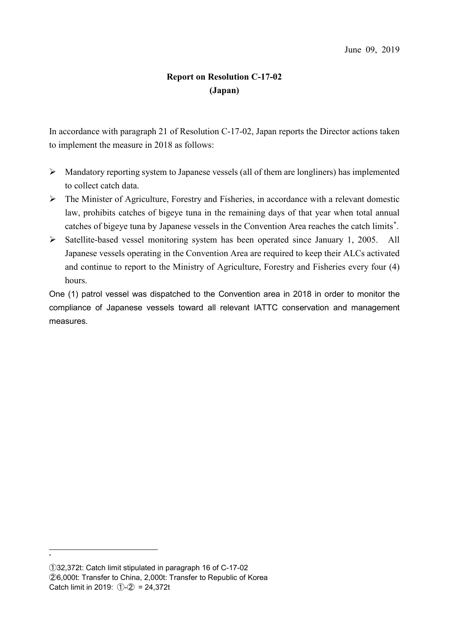# **Report on Resolution C-17-02 (Japan)**

In accordance with paragraph 21 of Resolution C-17-02, Japan reports the Director actions taken to implement the measure in 2018 as follows:

- $\triangleright$  Mandatory reporting system to Japanese vessels (all of them are longliners) has implemented to collect catch data.
- $\triangleright$  The Minister of Agriculture, Forestry and Fisheries, in accordance with a relevant domestic law, prohibits catches of bigeye tuna in the remaining days of that year when total annual catches of bigeye tuna by Japanese vessels in the Convention Area reaches the catch limits[\\*](#page-3-0) .
- $\triangleright$  Satellite-based vessel monitoring system has been operated since January 1, 2005. All Japanese vessels operating in the Convention Area are required to keep their ALCs activated and continue to report to the Ministry of Agriculture, Forestry and Fisheries every four (4) hours.

One (1) patrol vessel was dispatched to the Convention area in 2018 in order to monitor the compliance of Japanese vessels toward all relevant IATTC conservation and management measures.

\*

<span id="page-3-0"></span>①32,372t: Catch limit stipulated in paragraph 16 of C-17-02 ②6,000t: Transfer to China, 2,000t: Transfer to Republic of Korea Catch limit in 2019:  $(1)$ - $(2)$  = 24,372t